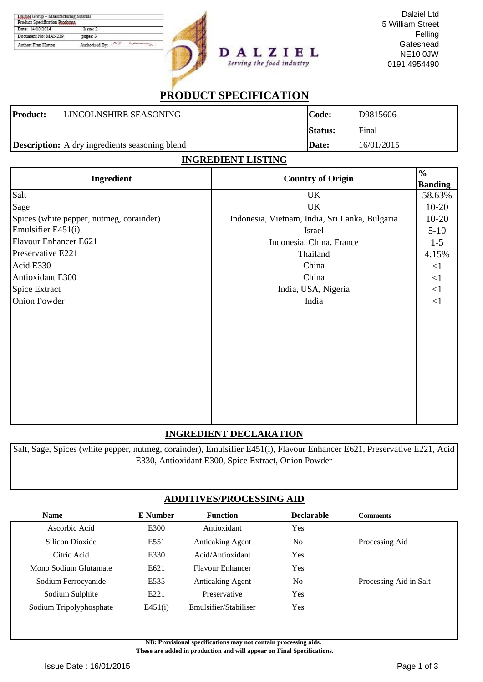| Product Specification Proforma |                |
|--------------------------------|----------------|
| Date: 14/10/2014               | Takmer 2       |
| Document No: MAN239            | pages: 3       |
| Author: Fran Hutton            | Authorised By: |



Dalziel Ltd 5 William Street Felling **Gateshead** NE10 0JW 0191 4954490

# **PRODUCT SPECIFICATION**

Serving the food industry

| <b>Product:</b> | LINCOLNSHIRE SEASONING                                | Code:          | D9815606   |
|-----------------|-------------------------------------------------------|----------------|------------|
|                 |                                                       | <b>Status:</b> | Final      |
|                 | <b>Description:</b> A dry ingredients seasoning blend | Date:          | 16/01/2015 |

## **INGREDIENT LISTING**

| Ingredient                               | <b>Country of Origin</b>                       | $\frac{0}{0}$<br><b>Banding</b> |
|------------------------------------------|------------------------------------------------|---------------------------------|
| Salt                                     | UK                                             | 58.63%                          |
| Sage                                     | UK                                             | $10-20$                         |
| Spices (white pepper, nutmeg, corainder) | Indonesia, Vietnam, India, Sri Lanka, Bulgaria | $10-20$                         |
| Emulsifier E451(i)                       | Israel                                         | $5-10$                          |
| Flavour Enhancer E621                    | Indonesia, China, France                       | $1 - 5$                         |
| Preservative E221                        | Thailand                                       | 4.15%                           |
| Acid E330                                | China                                          | $\leq$ 1                        |
| Antioxidant E300                         | China                                          | $\leq$ 1                        |
| Spice Extract                            | India, USA, Nigeria                            | <1                              |
| <b>Onion Powder</b>                      | India                                          | <1                              |
|                                          |                                                |                                 |
|                                          |                                                |                                 |

## **INGREDIENT DECLARATION**

Salt, Sage, Spices (white pepper, nutmeg, corainder), Emulsifier E451(i), Flavour Enhancer E621, Preservative E221, Acid E330, Antioxidant E300, Spice Extract, Onion Powder

## **ADDITIVES/PROCESSING AID**

| <b>Name</b>             | E Number         | <b>Function</b>         | <b>Declarable</b> | <b>Comments</b>        |
|-------------------------|------------------|-------------------------|-------------------|------------------------|
| Ascorbic Acid           | E300             | Antioxidant             | Yes               |                        |
| Silicon Dioxide         | E551             | <b>Anticaking Agent</b> | N <sub>o</sub>    | Processing Aid         |
| Citric Acid             | E330             | Acid/Antioxidant        | Yes               |                        |
| Mono Sodium Glutamate   | E621             | <b>Flavour Enhancer</b> | Yes               |                        |
| Sodium Ferrocyanide     | E535             | <b>Anticaking Agent</b> | No                | Processing Aid in Salt |
| Sodium Sulphite         | E <sub>221</sub> | Preservative            | Yes               |                        |
| Sodium Tripolyphosphate | E451(i)          | Emulsifier/Stabiliser   | Yes               |                        |
|                         |                  |                         |                   |                        |

**NB: Provisional specifications may not contain processing aids.** 

 **These are added in production and will appear on Final Specifications.**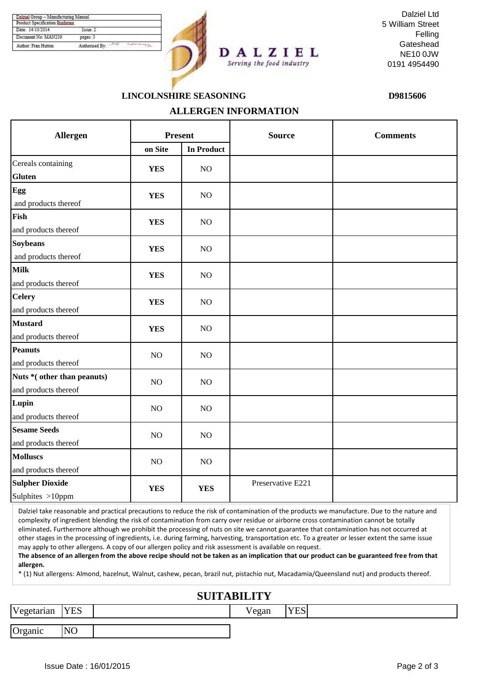| Product Specification Proforma |                |
|--------------------------------|----------------|
| Date: 14/10/2014               | Issue: 1       |
| Document No: MAN239            | pages: 3       |
| Author: Fran Hutton            | Authorised By: |



**ALLERGEN INFORMATION**

Dalziel Ltd 5 William Street Felling **Gateshead** NE10 0JW 0191 4954490

## **LINCOLNSHIRE SEASONING D9815606**

| Allergen                    | <b>Present</b> |                   | <b>Source</b>     | <b>Comments</b> |  |
|-----------------------------|----------------|-------------------|-------------------|-----------------|--|
|                             | on Site        | <b>In Product</b> |                   |                 |  |
| Cereals containing          | <b>YES</b>     | NO                |                   |                 |  |
| Gluten                      |                |                   |                   |                 |  |
| Egg                         | <b>YES</b>     | NO                |                   |                 |  |
| and products thereof        |                |                   |                   |                 |  |
| Fish                        | <b>YES</b>     | NO                |                   |                 |  |
| and products thereof        |                |                   |                   |                 |  |
| <b>Soybeans</b>             | <b>YES</b>     | NO                |                   |                 |  |
| and products thereof        |                |                   |                   |                 |  |
| Milk                        | <b>YES</b>     | N <sub>O</sub>    |                   |                 |  |
| and products thereof        |                |                   |                   |                 |  |
| <b>Celery</b>               | <b>YES</b>     | NO                |                   |                 |  |
| and products thereof        |                |                   |                   |                 |  |
| <b>Mustard</b>              | <b>YES</b>     | NO                |                   |                 |  |
| and products thereof        |                |                   |                   |                 |  |
| Peanuts                     | NO             | NO                |                   |                 |  |
| and products thereof        |                |                   |                   |                 |  |
| Nuts * (other than peanuts) | NO             | NO                |                   |                 |  |
| and products thereof        |                |                   |                   |                 |  |
| Lupin                       | NO             | NO                |                   |                 |  |
| and products thereof        |                |                   |                   |                 |  |
| <b>Sesame Seeds</b>         | NO             | NO                |                   |                 |  |
| and products thereof        |                |                   |                   |                 |  |
| <b>Molluscs</b>             | NO             | NO                |                   |                 |  |
| and products thereof        |                |                   |                   |                 |  |
| <b>Sulpher Dioxide</b>      | <b>YES</b>     | <b>YES</b>        | Preservative E221 |                 |  |
| Sulphites >10ppm            |                |                   |                   |                 |  |

Dalziel take reasonable and practical precautions to reduce the risk of contamination of the products we manufacture. Due to the nature and complexity of ingredient blending the risk of contamination from carry over residue or airborne cross contamination cannot be totally eliminated**.** Furthermore although we prohibit the processing of nuts on site we cannot guarantee that contamination has not occurred at other stages in the processing of ingredients, i.e. during farming, harvesting, transportation etc. To a greater or lesser extent the same issue may apply to other allergens. A copy of our allergen policy and risk assessment is available on request.

**The absence of an allergen from the above recipe should not be taken as an implication that our product can be guaranteed free from that allergen.**

\* (1) Nut allergens: Almond, hazelnut, Walnut, cashew, pecan, brazil nut, pistachio nut, Macadamia/Queensland nut) and products thereof.

#### **SUITABILITY**

| IT 7<br><b>र्</b> etarıan | <b>YES</b>     | $ -$<br>$\alpha$<br>сgан | $-7701$<br>ᅩப |  |
|---------------------------|----------------|--------------------------|---------------|--|
|                           |                |                          |               |  |
| $\sqrt{ }$<br>Organic     | N <sub>O</sub> |                          |               |  |